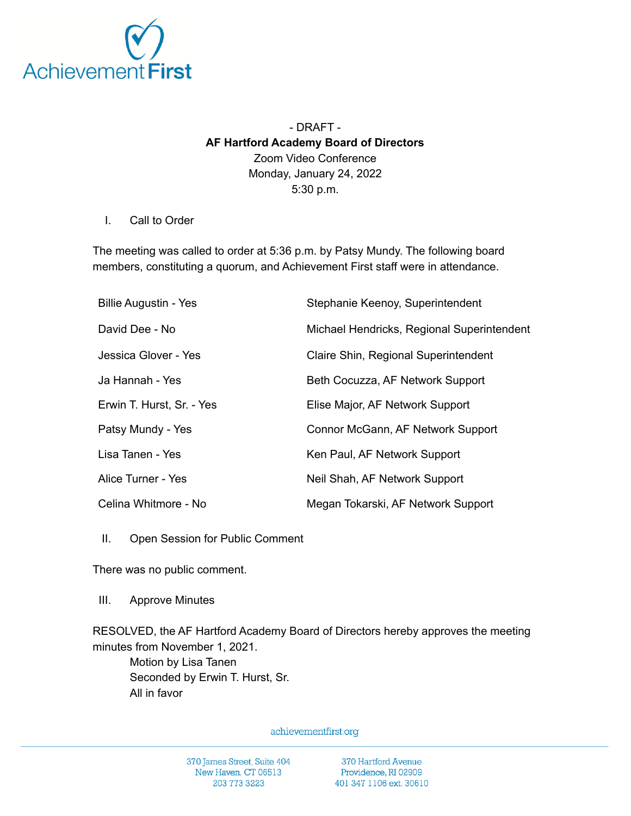

## - DRAFT - **AF Hartford Academy Board of Directors** Zoom Video Conference Monday, January 24, 2022 5:30 p.m.

## I. Call to Order

The meeting was called to order at 5:36 p.m. by Patsy Mundy. The following board members, constituting a quorum, and Achievement First staff were in attendance.

| <b>Billie Augustin - Yes</b> | Stephanie Keenoy, Superintendent           |
|------------------------------|--------------------------------------------|
| David Dee - No               | Michael Hendricks, Regional Superintendent |
| Jessica Glover - Yes         | Claire Shin, Regional Superintendent       |
| Ja Hannah - Yes              | Beth Cocuzza, AF Network Support           |
| Erwin T. Hurst, Sr. - Yes    | Elise Major, AF Network Support            |
| Patsy Mundy - Yes            | Connor McGann, AF Network Support          |
| Lisa Tanen - Yes             | Ken Paul, AF Network Support               |
| Alice Turner - Yes           | Neil Shah, AF Network Support              |
| Celina Whitmore - No         | Megan Tokarski, AF Network Support         |

II. Open Session for Public Comment

There was no public comment.

III. Approve Minutes

RESOLVED, the AF Hartford Academy Board of Directors hereby approves the meeting minutes from November 1, 2021.

Motion by Lisa Tanen Seconded by Erwin T. Hurst, Sr. All in favor

achievementfirst.org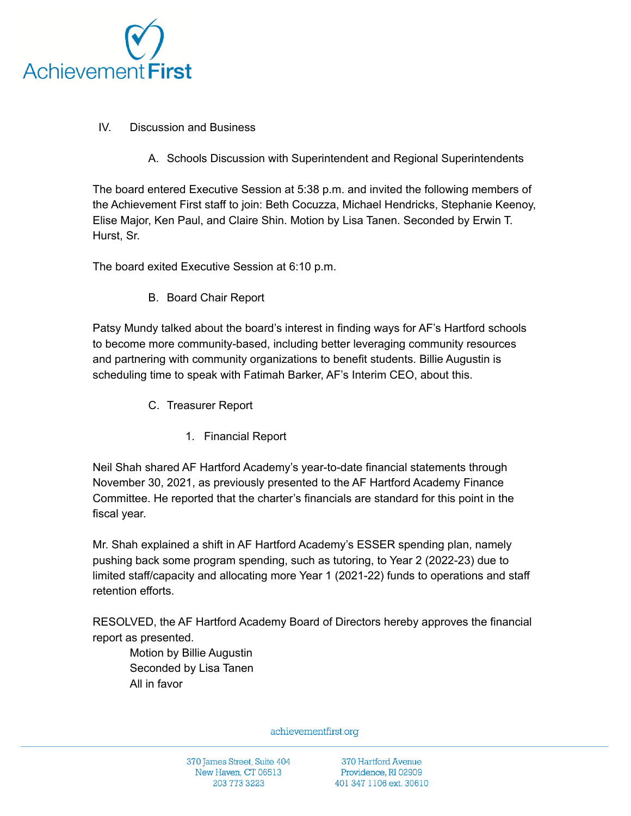

- IV. Discussion and Business
	- A. Schools Discussion with Superintendent and Regional Superintendents

The board entered Executive Session at 5:38 p.m. and invited the following members of the Achievement First staff to join: Beth Cocuzza, Michael Hendricks, Stephanie Keenoy, Elise Major, Ken Paul, and Claire Shin. Motion by Lisa Tanen. Seconded by Erwin T. Hurst, Sr.

The board exited Executive Session at 6:10 p.m.

B. Board Chair Report

Patsy Mundy talked about the board's interest in finding ways for AF's Hartford schools to become more community-based, including better leveraging community resources and partnering with community organizations to benefit students. Billie Augustin is scheduling time to speak with Fatimah Barker, AF's Interim CEO, about this.

- C. Treasurer Report
	- 1. Financial Report

Neil Shah shared AF Hartford Academy's year-to-date financial statements through November 30, 2021, as previously presented to the AF Hartford Academy Finance Committee. He reported that the charter's financials are standard for this point in the fiscal year.

Mr. Shah explained a shift in AF Hartford Academy's ESSER spending plan, namely pushing back some program spending, such as tutoring, to Year 2 (2022-23) due to limited staff/capacity and allocating more Year 1 (2021-22) funds to operations and staff retention efforts.

RESOLVED, the AF Hartford Academy Board of Directors hereby approves the financial report as presented.

Motion by Billie Augustin Seconded by Lisa Tanen All in favor

achievementfirst.org